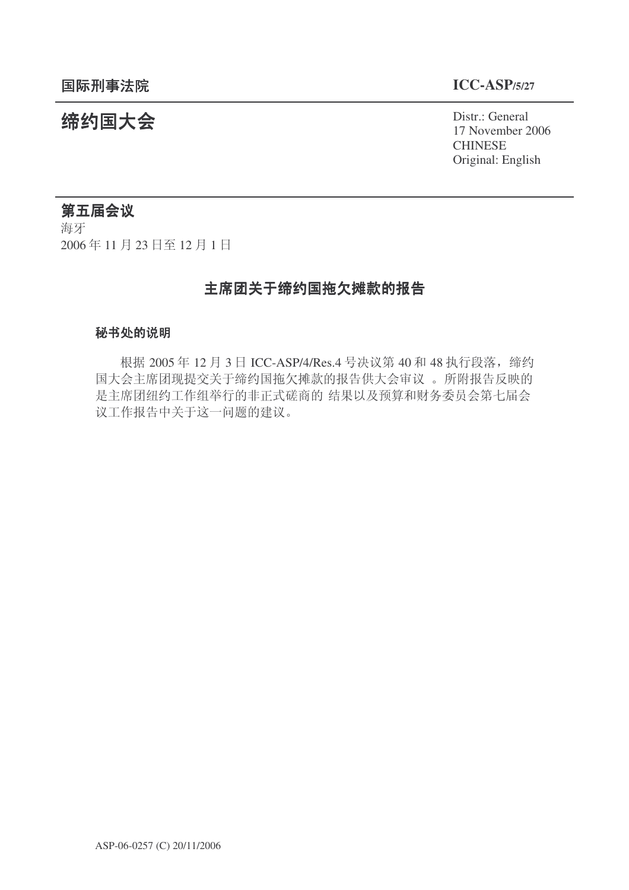统约国大会 Pistra Report of the District General 17 November 2006 **CHINESE** Original: English

# 第五届会议

海牙 2006年11月23日至12月1日

# 主席团关于缔约国拖欠摊款的报告

## 秘书处的说明

根据 2005 年 12 月 3 日 ICC-ASP/4/Res.4 号决议第 40 和 48 执行段落, 缔约 国大会主席团现提交关于缔约国拖欠摊款的报告供大会审议。所附报告反映的 是主席团纽约工作组举行的非正式磋商的 结果以及预算和财务委员会第七届会 议工作报告中关于这一问题的建议。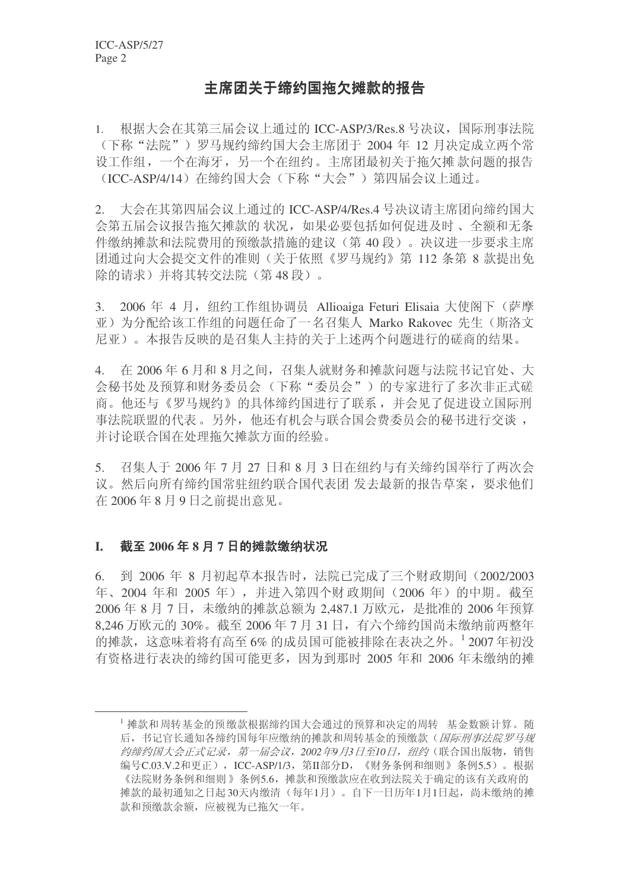# 主席团关于缔约国拖欠摊款的报告

1. 根据大会在其第三届会议上通过的 ICC-ASP/3/Res.8 号决议, 国际刑事法院 (下称"法院")罗马规约缔约国大会主席团干 2004 年 12 月决定成立两个常 设工作组,一个在海牙,另一个在纽约。主席团最初关于拖欠摊款问题的报告 (ICC-ASP/4/14) 在缔约国大会(下称"大会") 第四届会议上通过。

2. 大会在其第四届会议上通过的 ICC-ASP/4/Res.4 号决议请主席团向缔约国大 会第五届会议报告拖欠摊款的状况,如果必要包括如何促进及时、全额和无条 件缴纳摊款和法院费用的预缴款措施的建议(第40段)。决议进一步要求主席 团通过向大会提交文件的准则(关于依照《罗马规约》第 112 条第 8 款提出免 除的请求)并将其转交法院(第48段)。

3. 2006 年 4 月, 纽约工作组协调员 Allioaiga Feturi Elisaia 大使阁下(萨摩 亚) 为分配给该工作组的问题任命了一名召集人 Marko Rakovec 先生(斯洛文 尼亚)。本报告反映的是召集人主持的关于上述两个问题进行的磋商的结果。

4. 在 2006年6月和8月之间, 召集人就财务和摊款问题与法院书记官处、大 会秘书处及预算和财务委员会(下称"委员会")的专家进行了多次非正式磋 商。他还与《罗马规约》的具体缔约国进行了联系,并会见了促进设立国际刑 事法院联盟的代表。另外,他还有机会与联合国会费委员会的秘书进行交谈, 并讨论联合国在处理拖欠摊款方面的经验。

5. 召集人于 2006年7月27日和8月3日在纽约与有关缔约国举行了两次会 议。然后向所有缔约国常驻纽约联合国代表团 发去最新的报告草案,要求他们 在 2006年8月9日之前提出意见。

#### $I.$  截至 2006年8月7日的摊款缴纳状况

6. 到 2006 年 8 月初起草本报告时, 法院已完成了三个财政期间 (2002/2003 年、2004 年和 2005 年), 并进入第四个财政期间 (2006 年) 的中期。截至 2006 年 8 月 7 日, 未缴纳的摊款总额为 2.487.1 万欧元, 是批准的 2006 年预算  $8.246$  万欧元的 30%。截至 2006年 7 月 31 日, 有六个缔约国尚未缴纳前两整年 的摊款, 这意味着将有高至6% 的成员国可能被排除在表决之外。12007年初没 有资格讲行表决的缔约国可能更多, 因为到那时 2005 年和 2006 年未缴纳的摊

<sup>1</sup> 摊款和 周转基金的预缴款根据缔约国大会通过的预算和决定的周转。基金数额 计算。随 后,书记官长通知各缔约国每年应缴纳的摊款和周转基金的预缴款(国际刑事法院罗马规 约缔约国大会正式记录, 第一届会议, 2002年9月3日至10日, 纽约(联合国出版物, 销售 编号C.03.V.2和更正), ICC-ASP/1/3, 第II部分D, 《财务条例和细则》条例5.5)。根据 《法院财务条例和细则》条例5.6, 摊款和预缴款应在收到法院关于确定的该有关政府的 摊款的最初通知之日起30天内缴清(每年1月)。自下一日历年1月1日起,尚未缴纳的摊 款和预缴款余额, 应被视为已拖欠一年。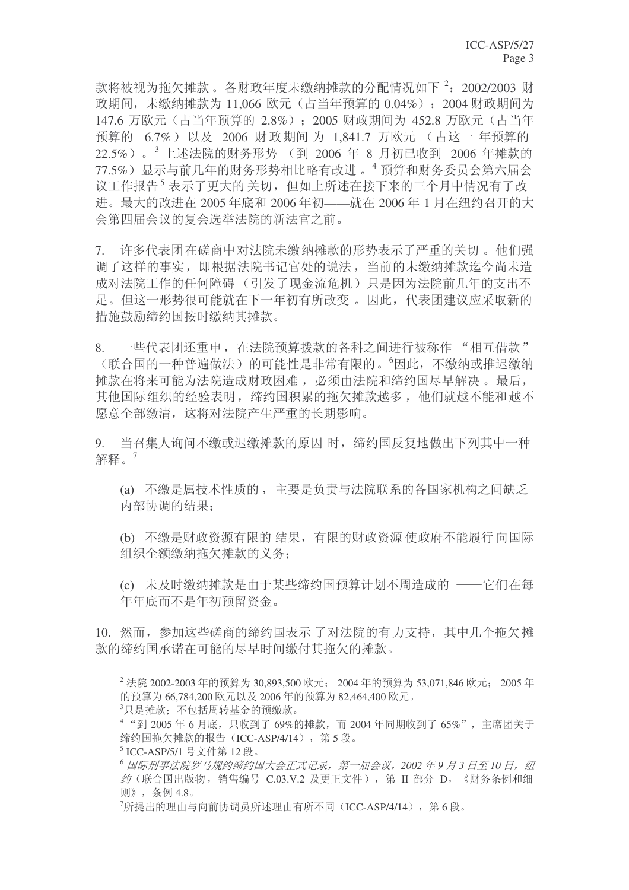款将被视为拖欠摊款。各财政年度未缴纳摊款的分配情况如下<sup>2</sup>: 2002/2003 财 政期间,未缴纳摊款为 11,066 欧元(占当年预算的 0.04%); 2004 财政期间为 147.6 万欧元 (占当年预算的 2.8%): 2005 财政期间为 452.8 万欧元 (占当年 预算的 6.7%) 以及 2006 财政期间 为 1,841.7 万欧元 (占这一年预算的 22.5%)。<sup>3</sup>上述法院的财务形势 (到 2006 年 8 月初已收到 2006 年摊款的 77.5%) 显示与前几年的财务形势相比略有改进。<sup>4</sup> 预算和财务委员会第六届会 议工作报告<sup>5</sup> 表示了更大的 关切,但如上所述在接下来的三个月中情况有了改 进。最大的改进在 2005 年底和 2006 年初——就在 2006 年 1 月在纽约召开的大 会第四届会议的复会选举法院的新法官之前。

7. 许多代表团在磋商中对法院未缴纳摊款的形势表示了严重的关切。他们强 调了这样的事实, 即根据法院书记官处的说法, 当前的未缴纳摊款迄今尚未造 成对法院工作的任何障碍(引发了现金流危机)只是因为法院前几年的支出不 足。但这一形势很可能就在下一年初有所改变。因此,代表团建议应采取新的 措施鼓励缔约国按时缴纳其摊款。

8. 一些代表团还重申, 在法院预算拨款的各科之间进行被称作 "相互借款" (联合国的一种普遍做法)的可能性是非常有限的。'因此,不缴纳或推迟缴纳 摊款在将来可能为法院造成财政困难, 必须由法院和缔约国尽早解决。最后, 其他国际组织的经验表明, 缔约国积累的拖欠摊款越多, 他们就越不能和越不 愿意全部缴清, 这将对法院产生严重的长期影响。

9. 当召集人询问不缴或迟缴摊款的原因 时, 缔约国反复地做出下列其中一种 解释。 $7$ 

(a) 不缴是属技术性质的, 主要是负责与法院联系的各国家机构之间缺乏 内部协调的结果:

(b) 不缴是财政资源有限的 结果, 有限的财政资源 使政府不能履行 向国际 组织全额缴纳拖欠摊款的义务:

(c) 未及时缴纳摊款是由于某些缔约国预算计划不周造成的 ——它们在每 年年底而不是年初预留资金。

10. 然而, 参加这些磋商的缔约国表示 了对法院的有力支持, 其中几个拖欠摊 款的缔约国承诺在可能的尽早时间缴付其拖欠的摊款。

 $3$ 只是摊款: 不包括周转基金的预缴款。

 $4$  "到 2005 年 6 月底,只收到了 69%的摊款,而 2004 年同期收到了 65%", 主席团关于 缔约国拖欠摊款的报告 (ICC-ASP/4/14), 第5段。

 $^{2}$  法院 2002-2003 年的预算为 30,893,500 欧元: 2004 年的预算为 53,071,846 欧元: 2005 年 的预算为 66,784,200 欧元以及 2006 年的预算为 82,464,400 欧元。

<sup>5</sup> ICC-ASP/5/1 号文件第 12 段。

 $^6$  国际刑事法院罗马规约缔约国大会正式记录, 第一届会议, 2002 年9月3日至10日, 纽 约(联合国出版物, 销售编号 C.03.V.2 及更正文件), 第 II 部分 D, 《财务条例和细 则》,条例4.8。

 $\frac{7}{100}$ 所提出的理由与向前协调员所述理由有所不同(ICC-ASP/4/14), 第6段。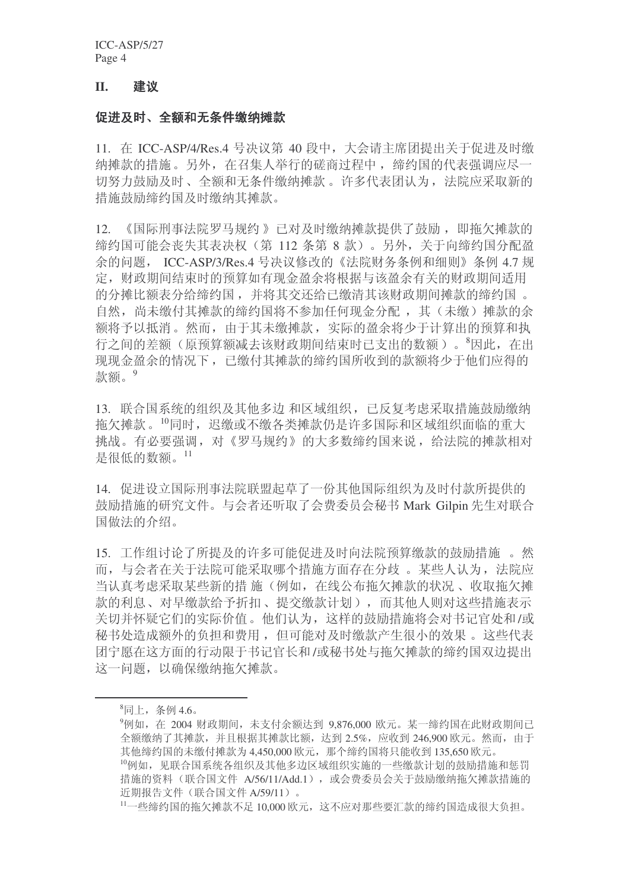ICC-ASP/5/27 Page 4

#### **II.** 建议

#### 促进及时、全额和无条件缴纳摊款

11. 在 ICC-ASP/4/Res.4 号决议第 40 段中, 大会请主席团提出关于促进及时缴 纳摊款的措施。另外, 在召集人举行的磋商过程中, 缔约国的代表强调应尽一 切努力鼓励及时、全额和无条件缴纳摊款。许多代表团认为, 法院应采取新的 措施鼓励缔约国及时缴纳其摊款。

12. 《国际刑事法院罗马规约》已对及时缴纳摊款提供了鼓励, 即拖欠摊款的 缔约国可能会丧失其表决权(第112条第8款)。另外,关于向缔约国分配盈 余的问题, ICC-ASP/3/Res.4 号决议修改的《法院财务条例和细则》条例 4.7 规 定, 财政期间结束时的预算如有现金盈余将根据与该盈余有关的财政期间适用 的分摊比额表分给缔约国,并将其交还给已缴清其该财政期间摊款的缔约国。 自然,尚未缴付其摊款的缔约国将不参加任何现金分配,其(未缴)摊款的余 额将予以抵消。然而, 由于其未缴摊款, 实际的盈余将少于计算出的预算和执 行之间的差额(原预算额减去该财政期间结束时已支出的数额)。<sup>8</sup>因此, 在出 现现金盈余的情况下, 已缴付其摊款的缔约国所收到的款额将少于他们应得的 款额。9

13. 联合国系统的组织及其他多边和区域组织, 已反复考虑采取措施鼓励缴纳 拖欠摊款。<sup>10</sup>同时, 迟缴或不缴各类摊款仍是许多国际和区域组织面临的重大 挑战。有必要强调, 对《罗马规约》的大多数缔约国来说, 给法院的摊款相对 是很低的数额。11

14. 促进设立国际刑事法院联盟起草了一份其他国际组织为及时付款所提供的 鼓励措施的研究文件。与会者还听取了会费委员会秘书 Mark Gilpin 先生对联合 国做法的介绍。

15. 工作组讨论了所提及的许多可能促进及时向法院预算缴款的鼓励措施。然 而, 与会者在关于法院可能采取哪个措施方面存在分歧。 某些人认为, 法院应 当认真考虑采取某些新的措施(例如, 在线公布拖欠摊款的状况、收取拖欠摊 款的利息、对早缴款给予折扣、提交缴款计划),而其他人则对这些措施表示 关切并怀疑它们的实际价值。他们认为, 这样的鼓励措施将会对书记官处和/或 秘书处造成额外的负担和费用, 但可能对及时缴款产生很小的效果。这些代表 团宁愿在这方面的行动限于书记官长和/或秘书处与拖欠摊款的缔约国双边提出 这一问题, 以确保缴纳拖欠摊款。

 $^8$ 同上, 条例 4.6。

<sup>9</sup>例如, 在 2004 财政期间, 未支付余额达到 9.876.000 欧元。某一缔约国在此财政期间已 全额缴纳了其摊款,并且根据其摊款比额,达到2.5%,应收到246.900 欧元。然而,由于 其他缔约国的未缴付摊款为 4,450,000 欧元, 那个缔约国将只能收到 135,650 欧元。 10例如, 见联合国系统各组织及其他多边区域组织实施的一些缴款计划的鼓励措施和惩罚 措施的资料(联合国文件 A/56/11/Add.1), 或会费委员会关于鼓励缴纳拖欠摊款措施的 近期报告文件(联合国文件 A/59/11)。

<sup>11</sup>一些缔约国的拖欠摊款不足 10,000 欧元, 这不应对那些要汇款的缔约国造成很大负担。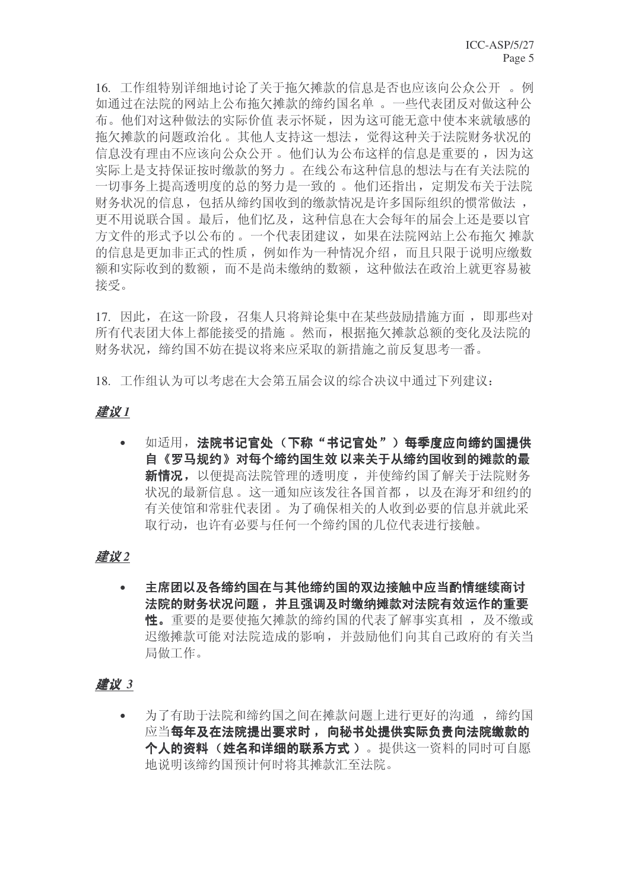16. 工作组特别详细地讨论了关于拖欠摊款的信息是否也应该向公众公开。例 如通过在法院的网站上公布拖欠摊款的缔约国名单。 一些代表团反对做这种公 布。他们对这种做法的实际价值 表示怀疑, 因为这可能无意中使本来就敏感的 拖欠摊款的问题政治化。其他人支持这一想法, 觉得这种关于法院财务状况的 信息没有理由不应该向公众公开。他们认为公布这样的信息是重要的,因为这 实际上是支持保证按时缴款的努力。在线公布这种信息的想法与在有关法院的 一切事务上提高透明度的总的努力是一致的。他们还指出, 定期发布关于法院 财务状况的信息, 包括从缔约国收到的缴款情况是许多国际组织的惯常做法, 更不用说联合国。最后, 他们忆及, 这种信息在大会每年的届会上还是要以官 方文件的形式予以公布的。一个代表团建议, 如果在法院网站上公布拖欠 摊款 的信息是更加非正式的性质, 例如作为一种情况介绍, 而且只限于说明应缴数 额和实际收到的数额,而不是尚未缴纳的数额,这种做法在政治上就更容易被 接受。

17. 因此, 在这一阶段, 召集人只将辩论集中在某些鼓励措施方面, 即那些对 所有代表团大体上都能接受的措施。然而,根据拖欠摊款总额的变化及法院的 财务状况, 缔约国不妨在提议将来应采取的新措施之前反复思考一番。

18. 工作组认为可以考虑在大会第五届会议的综合决议中通过下列建议:

#### ᓎ䆂 *1*

• 如适用,法院书记官处(下称"书记官处")每季度应向缔约国提供 自《罗马规约》对每个缔约国生效 以来关于从缔约国收到的摊款的最 新情况, 以便提高法院管理的透明度, 并使缔约国了解关于法院财务 状况的最新信息。这一通知应该发往各国首都, 以及在海牙和纽约的 有关使馆和常驻代表团。为了确保相关的人收到必要的信息并就此采 取行动,也许有必要与任何一个缔约国的几位代表讲行接触。

# 建议2

• 主席团以及各缔约国在与其他缔约国的双边接触中应当酌情继续商讨 法院的财务状况问题, 并且强调及时缴纳摊款对法院有效运作的重要 性。重要的是要使拖欠摊款的缔约国的代表了解事实真相, 及不缴或 迟缴摊款可能对法院造成的影响,并鼓励他们向其自己政府的有关当 局做工作。

# *建议 3*

• 为了有助于法院和缔约国之间在摊款问题上讲行更好的沟通, 缔约国 应当每年及在法院提出要求时, 向秘书处提供实际负责向法院缴款的 个人的资料(姓名和详细的联系方式)。提供这一资料的同时可自愿 地说明该缔约国预计何时将其摊款汇至法院。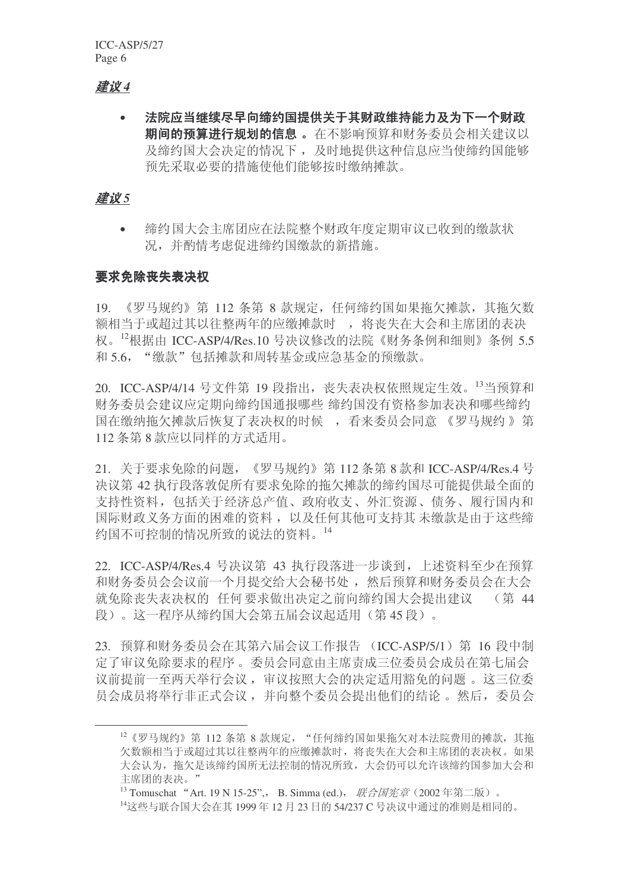# ᓎ䆂 *4*

• 法院应当继续尽早向缔约国提供关于其财政维持能力及为下一个财政 期间的预算进行规划的信息。在不影响预算和财务委员会相关建议以 及缔约国大会决定的情况下, 及时地提供这种信息应当使缔约国能够 预先采取必要的措施使他们能够按时缴纳摊款。

### *建议5*

缔约国大会主席团应在法院整个财政年度定期审议已收到的缴款状 况,并酌情考虑促讲缔约国缴款的新措施。

#### 要求免除丧失表决权

19. 《罗马规约》第 112 条第 8 款规定, 任何缔约国如果拖欠摊款, 其拖欠数 额相当于或超过其以往整两年的应缴摊款时, 将丧失在大会和主席团的表决 权。 $^{12}$ 根据由 ICC-ASP/4/Res.10 号决议修改的法院《财务条例和细则》条例 5.5 和 5.6. "缴款"包括摊款和周转基金或应急基金的预缴款。

20. ICC-ASP/4/14 号文件第 19 段指出, 丧失表决权依照规定生效。<sup>13</sup>当预算和 财务委员会建议应定期向缔约国通报哪些 缔约国没有资格参加表决和哪些缔约 国在缴纳拖欠摊款后恢复了表决权的时候, 看来委员会同意 《罗马规约》第 112 条第 8 款应以同样的方式适用。

21. 关于要求免除的问题, 《罗马规约》第 112 条第 8 款和 ICC-ASP/4/Res.4 号 决议第42 执行段落敦促所有要求免除的拖欠摊款的缔约国尽可能提供最全面的 支持性资料, 包括关于经济总产值、政府收支、外汇资源、债务、履行国内和 国际财政义务方面的困难的资料, 以及任何其他可支持其 未缴款是由于这些缔 约国不可控制的情况所致的说法的资料。14

22. ICC-ASP/4/Res.4 号决议第 43 执行段落讲一步谈到, 上述资料至少在预算 和财务委员会议前一个月提交给大会秘书处,然后预算和财务委员会在大会 就免除丧失表决权的 任何要求做出决定之前向缔约国大会提出建议 (第 44 段)。这一程序从缔约国大会第五届会议起适用(第45段)。

23. 预算和财务委员会在其第六届会议工作报告 (ICC-ASP/5/1) 第 16 段中制 定了审议免除要求的程序。委员会同意由主席责成三位委员会成员在第七届会 议前提前一至两天举行会议,审议按照大会的决定适用豁免的问题。这三位委 员会成员将举行非正式会议,并向整个委员会提出他们的结论。然后,委员会

 $^{12}$ 《罗马规约》第112 条第 8 款规定, "任何缔约国如果拖欠对本法院费用的摊款, 其拖 欠数额相当于或超过其以往整两年的应缴摊款时,将丧失在大会和主席团的表决权。如果 大会认为, 拖欠是该缔约国所无法控制的情况所致, 大会仍可以允许该缔约国参加大会和 主席团的表决。"

<sup>&</sup>lt;sup>13</sup> Tomuschat "Art. 19 N 15-25", B. Simma (ed.), 联合国宪章 (2002 年第二版)。

 $^{14}$ 这些与联合国大会在其 1999 年 12 月 23 日的 54/237 C 号决议中通过的准则是相同的。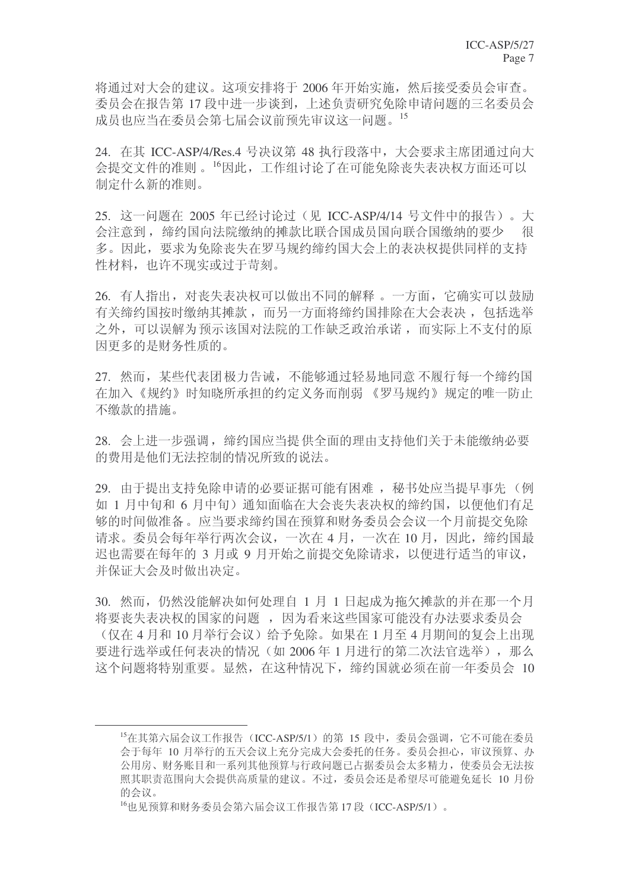将通过对大会的建议。这项安排将于 2006 年开始实施, 然后接受委员会审查。 委员会在报告第17 段中讲一步谈到,上述负责研究免除申请问题的三名委员会 成员也应当在委员会第七届会议前预先审议这一问题。15

 $24.$  在其 ICC-ASP/4/Res.4 号决议第 48 执行段落中, 大会要求主席团通过向大 会提交文件的准则。<sup>16</sup>因此,工作组讨论了在可能免除丧失表决权方面还可以 制定什么新的准则。

25. 这一问题在 2005 年已经讨论过(见 ICC-ASP/4/14 号文件中的报告)。大 会注意到, 缔约国向法院缴纳的摊款比联合国成员国向联合国缴纳的要少 很 多。因此,要求为免除丧失在罗马规约缔约国大会上的表决权提供同样的支持 性材料, 也许不现实或讨干苛刻。

26. 有人指出, 对丧失表决权可以做出不同的解释。一方面, 它确实可以鼓励 有关缔约国按时缴纳其摊款,而另一方面将缔约国排除在大会表决,包括选举 之外,可以误解为预示该国对法院的工作缺乏政治承诺,而实际上不支付的原 因更多的是财务性质的。

27. 然而,某些代表团极力告诫,不能够通过轻易地同意不履行每一个缔约国 在加入《规约》时知晓所承担的约定义务而削弱 《罗马规约》规定的唯一防止 不缴款的措施。

28. 会上进一步强调, 缔约国应当提供全面的理由支持他们关于未能缴纳必要 的费用是他们无法控制的情况所致的说法。

29. 由于提出支持免除申请的必要证据可能有困难, 秘书处应当提早事先(例 如 1 月中旬和 6 月中旬) 通知面临在大会丧失表决权的缔约国, 以便他们有足 够的时间做准备。应当要求缔约国在预算和财务委员会会议一个月前提交免除 请求。委员会每年举行两次会议, 一次在 4 月, 一次在 10 月, 因此, 缔约国最 迟也需要在每年的 3 月或 9 月开始之前提交免除请求, 以便进行适当的审议, 并保证大会及时做出决定。

30. 然而, 仍然没能解决如何处理自 1 月 1 日起成为拖欠摊款的并在那一个月 将要丧失表决权的国家的问题, 因为看来这些国家可能没有办法要求委员会 (仅在 4 月和 10 月举行会议)给予免除。如果在 1 月至 4 月期间的复会上出现 要进行选举或任何表决的情况(如 2006年1月进行的第二次法官选举), 那么 这个问题将特别重要。显然, 在这种情况下, 缔约国就必须在前一年委员会 10

<sup>&</sup>lt;sup>15</sup>在其第六届会议工作报告 (ICC-ASP/5/1) 的第 15 段中, 委员会强调, 它不可能在委员 会干每年 10 月举行的五天会议上充分完成大会委托的任务。委员会担心,审议预算、办 公用房、财务账目和一系列其他预算与行政问题已占据委员会太多精力, 使委员会无法按 照其职责范围向大会提供高质量的建议。不过,委员会还是希望尽可能避免延长 10 月份 的会议。

 $^{16}$ 也见预算和财务委员会第六届会议工作报告第17段 (ICC-ASP/5/1)。